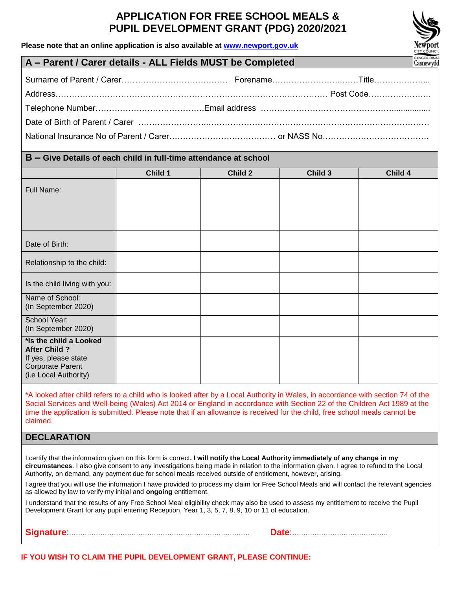# **APPLICATION FOR FREE SCHOOL MEALS & PUPIL DEVELOPMENT GRANT (PDG) 2020/2021**

**Please note that an online application is also available at [www.newport.gov.uk](http://www.newport.gov.uk/)**



# **A – Parent / Carer details - ALL Fields MUST be Completed**

# **B – Give Details of each child in full-time attendance at school**

|                                                                                                                            | Child 1 | Child 2 | Child 3 | Child 4 |
|----------------------------------------------------------------------------------------------------------------------------|---------|---------|---------|---------|
| <b>Full Name:</b>                                                                                                          |         |         |         |         |
| Date of Birth:                                                                                                             |         |         |         |         |
| Relationship to the child:                                                                                                 |         |         |         |         |
| Is the child living with you:                                                                                              |         |         |         |         |
| Name of School:<br>(In September 2020)                                                                                     |         |         |         |         |
| School Year:<br>(In September 2020)                                                                                        |         |         |         |         |
| *Is the child a Looked<br><b>After Child ?</b><br>If yes, please state<br><b>Corporate Parent</b><br>(i.e Local Authority) |         |         |         |         |

\*A looked after child refers to a child who is looked after by a Local Authority in Wales, in accordance with section 74 of the Social Services and Well-being (Wales) Act 2014 or England in accordance with Section 22 of the Children Act 1989 at the time the application is submitted. Please note that if an allowance is received for the child, free school meals cannot be claimed.

| <b>DECLARATION</b> |
|--------------------|
|--------------------|

I certify that the information given on this form is correct**. I will notify the Local Authority immediately of any change in my circumstances**. I also give consent to any investigations being made in relation to the information given. I agree to refund to the Local Authority, on demand, any payment due for school meals received outside of entitlement, however, arising.

I agree that you will use the information I have provided to process my claim for Free School Meals and will contact the relevant agencies as allowed by law to verify my initial and **ongoing** entitlement.

I understand that the results of any Free School Meal eligibility check may also be used to assess my entitlement to receive the Pupil Development Grant for any pupil entering Reception, Year 1, 3, 5, 7, 8, 9, 10 or 11 of education.

|--|--|

**IF YOU WISH TO CLAIM THE PUPIL DEVELOPMENT GRANT, PLEASE CONTINUE:**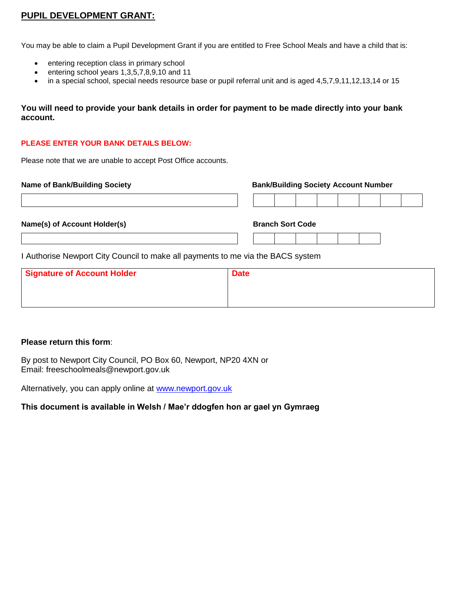# **PUPIL DEVELOPMENT GRANT:**

You may be able to claim a Pupil Development Grant if you are entitled to Free School Meals and have a child that is:

- entering reception class in primary school
- $\bullet$  entering school years 1,3,5,7,8,9,10 and 11
- in a special school, special needs resource base or pupil referral unit and is aged 4,5,7,9,11,12,13,14 or 15

# **You will need to provide your bank details in order for payment to be made directly into your bank account.**

## **PLEASE ENTER YOUR BANK DETAILS BELOW:**

Please note that we are unable to accept Post Office accounts.

**Name of Bank/Building Society Bank/Building Society Account Number**

|  | Name(s) of Account Holder(s) |  |
|--|------------------------------|--|

**Name (S) Branch Sort Code** 

I Authorise Newport City Council to make all payments to me via the BACS system

| Signature of Account Holder | <b>Date</b> |
|-----------------------------|-------------|
|                             |             |
|                             |             |

## **Please return this form**:

By post to Newport City Council, PO Box 60, Newport, NP20 4XN or Email: freeschoolmeals@newport.gov.uk

Alternatively, you can apply online at [www.newport.gov.uk](http://www.newport.gov.uk/)

# **This document is available in Welsh / Mae'r ddogfen hon ar gael yn Gymraeg**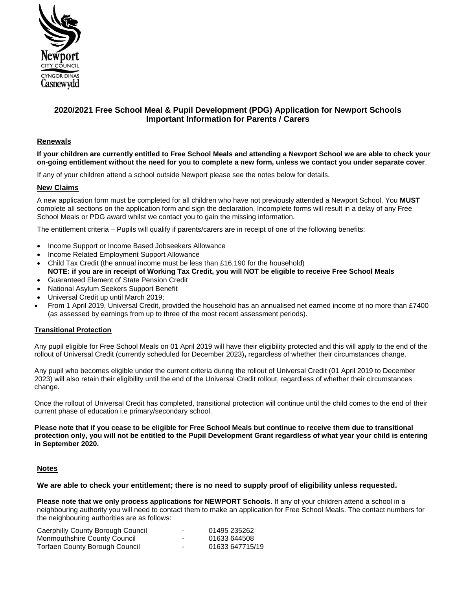

# **2020/2021 Free School Meal & Pupil Development (PDG) Application for Newport Schools Important Information for Parents / Carers**

### **Renewals**

**If your children are currently entitled to Free School Meals and attending a Newport School we are able to check your on-going entitlement without the need for you to complete a new form, unless we contact you under separate cover**.

If any of your children attend a school outside Newport please see the notes below for details.

#### **New Claims**

A new application form must be completed for all children who have not previously attended a Newport School. You **MUST** complete all sections on the application form and sign the declaration. Incomplete forms will result in a delay of any Free School Meals or PDG award whilst we contact you to gain the missing information.

The entitlement criteria – Pupils will qualify if parents/carers are in receipt of one of the following benefits:

- Income Support or Income Based Jobseekers Allowance
- Income Related Employment Support Allowance
- Child Tax Credit (the annual income must be less than £16,190 for the household)
- **NOTE: if you are in receipt of Working Tax Credit, you will NOT be eligible to receive Free School Meals** Guaranteed Element of State Pension Credit
- National Asylum Seekers Support Benefit
- Universal Credit up until March 2019;
- From 1 April 2019, Universal Credit, provided the household has an annualised net earned income of no more than £7400 (as assessed by earnings from up to three of the most recent assessment periods).

#### **Transitional Protection**

Any pupil eligible for Free School Meals on 01 April 2019 will have their eligibility protected and this will apply to the end of the rollout of Universal Credit (currently scheduled for December 2023)**,** regardless of whether their circumstances change.

Any pupil who becomes eligible under the current criteria during the rollout of Universal Credit (01 April 2019 to December 2023) will also retain their eligibility until the end of the Universal Credit rollout, regardless of whether their circumstances change.

Once the rollout of Universal Credit has completed, transitional protection will continue until the child comes to the end of their current phase of education i.e primary/secondary school.

**Please note that if you cease to be eligible for Free School Meals but continue to receive them due to transitional protection only, you will not be entitled to the Pupil Development Grant regardless of what year your child is entering in September 2020.**

#### **Notes**

#### **We are able to check your entitlement; there is no need to supply proof of eligibility unless requested.**

**Please note that we only process applications for NEWPORT Schools**. If any of your children attend a school in a neighbouring authority you will need to contact them to make an application for Free School Meals. The contact numbers for the neighbouring authorities are as follows:

| Caerphilly County Borough Council | $\overline{\phantom{0}}$ | 01495 235262    |
|-----------------------------------|--------------------------|-----------------|
| Monmouthshire County Council      | -                        | 01633 644508    |
| Torfaen County Borough Council    | $\overline{\phantom{0}}$ | 01633 647715/19 |